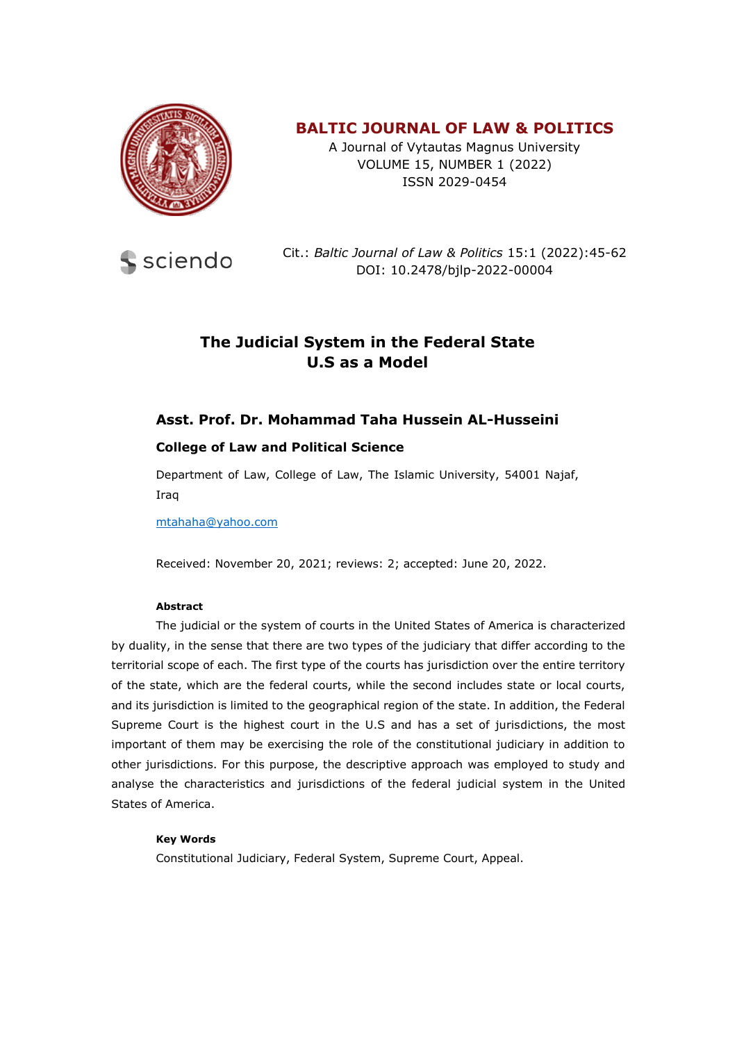

# **BALTIC JOURNAL OF LAW & POLITICS**

A Journal of Vytautas Magnus University VOLUME 15, NUMBER 1 (2022) ISSN 2029-0454



Cit.: *Baltic Journal of Law & Politics* 15:1 (2022):45-62 DOI: 10.2478/bjlp-2022-00004

# **The Judicial System in the Federal State U.S as a Model**

# **Asst. Prof. Dr. Mohammad Taha Hussein AL-Husseini**

#### **College of Law and Political Science**

Department of Law, College of Law, The Islamic University, 54001 Najaf, Iraq

[mtahaha@yahoo.com](mailto:mtahaha@yahoo.com)

Received: November 20, 2021; reviews: 2; accepted: June 20, 2022.

#### **Abstract**

The judicial or the system of courts in the United States of America is characterized by duality, in the sense that there are two types of the judiciary that differ according to the territorial scope of each. The first type of the courts has jurisdiction over the entire territory of the state, which are the federal courts, while the second includes state or local courts, and its jurisdiction is limited to the geographical region of the state. In addition, the Federal Supreme Court is the highest court in the U.S and has a set of jurisdictions, the most important of them may be exercising the role of the constitutional judiciary in addition to other jurisdictions. For this purpose, the descriptive approach was employed to study and analyse the characteristics and jurisdictions of the federal judicial system in the United States of America.

#### **Key Words**

Constitutional Judiciary, Federal System, Supreme Court, Appeal.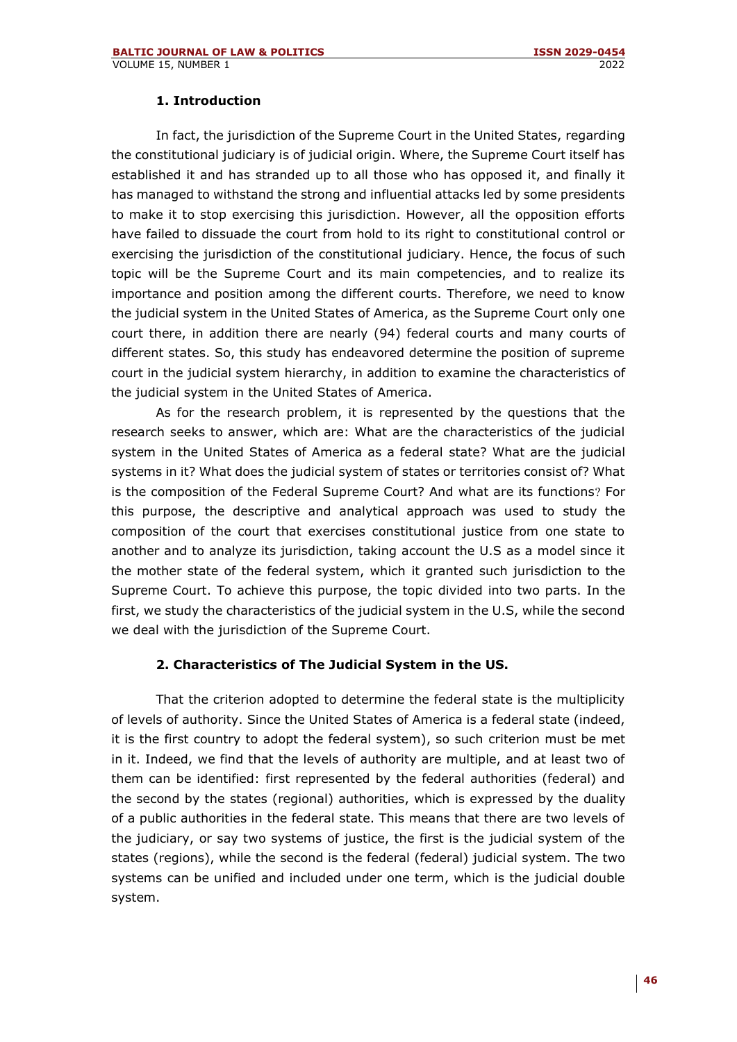#### **1. Introduction**

In fact, the jurisdiction of the Supreme Court in the United States, regarding the constitutional judiciary is of judicial origin. Where, the Supreme Court itself has established it and has stranded up to all those who has opposed it, and finally it has managed to withstand the strong and influential attacks led by some presidents to make it to stop exercising this jurisdiction. However, all the opposition efforts have failed to dissuade the court from hold to its right to constitutional control or exercising the jurisdiction of the constitutional judiciary. Hence, the focus of such topic will be the Supreme Court and its main competencies, and to realize its importance and position among the different courts. Therefore, we need to know the judicial system in the United States of America, as the Supreme Court only one court there, in addition there are nearly (94) federal courts and many courts of different states. So, this study has endeavored determine the position of supreme court in the judicial system hierarchy, in addition to examine the characteristics of the judicial system in the United States of America.

As for the research problem, it is represented by the questions that the research seeks to answer, which are: What are the characteristics of the judicial system in the United States of America as a federal state? What are the judicial systems in it? What does the judicial system of states or territories consist of? What is the composition of the Federal Supreme Court? And what are its functions? For this purpose, the descriptive and analytical approach was used to study the composition of the court that exercises constitutional justice from one state to another and to analyze its jurisdiction, taking account the U.S as a model since it the mother state of the federal system, which it granted such jurisdiction to the Supreme Court. To achieve this purpose, the topic divided into two parts. In the first, we study the characteristics of the judicial system in the U.S, while the second we deal with the jurisdiction of the Supreme Court.

### **2. Characteristics of The Judicial System in the US.**

That the criterion adopted to determine the federal state is the multiplicity of levels of authority. Since the United States of America is a federal state (indeed, it is the first country to adopt the federal system), so such criterion must be met in it. Indeed, we find that the levels of authority are multiple, and at least two of them can be identified: first represented by the federal authorities (federal) and the second by the states (regional) authorities, which is expressed by the duality of a public authorities in the federal state. This means that there are two levels of the judiciary, or say two systems of justice, the first is the judicial system of the states (regions), while the second is the federal (federal) judicial system. The two systems can be unified and included under one term, which is the judicial double system.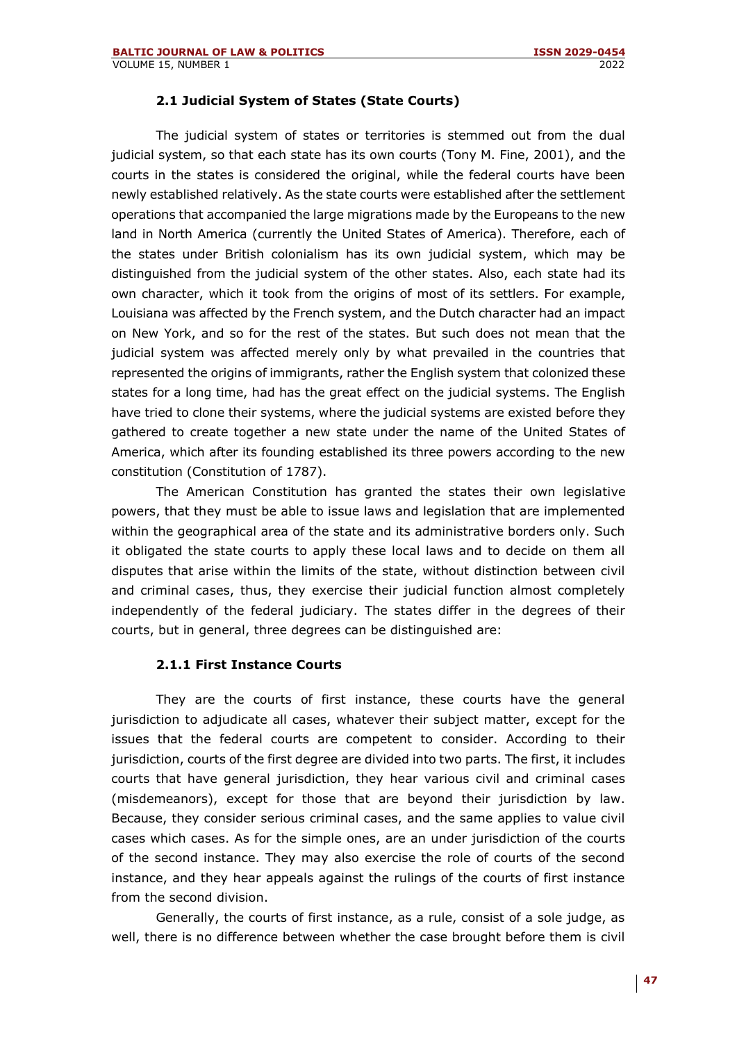#### **2.1 Judicial System of States (State Courts)**

The judicial system of states or territories is stemmed out from the dual judicial system, so that each state has its own courts (Tony M. Fine, 2001), and the courts in the states is considered the original, while the federal courts have been newly established relatively. As the state courts were established after the settlement operations that accompanied the large migrations made by the Europeans to the new land in North America (currently the United States of America). Therefore, each of the states under British colonialism has its own judicial system, which may be distinguished from the judicial system of the other states. Also, each state had its own character, which it took from the origins of most of its settlers. For example, Louisiana was affected by the French system, and the Dutch character had an impact on New York, and so for the rest of the states. But such does not mean that the judicial system was affected merely only by what prevailed in the countries that represented the origins of immigrants, rather the English system that colonized these states for a long time, had has the great effect on the judicial systems. The English have tried to clone their systems, where the judicial systems are existed before they gathered to create together a new state under the name of the United States of America, which after its founding established its three powers according to the new constitution (Constitution of 1787).

The American Constitution has granted the states their own legislative powers, that they must be able to issue laws and legislation that are implemented within the geographical area of the state and its administrative borders only. Such it obligated the state courts to apply these local laws and to decide on them all disputes that arise within the limits of the state, without distinction between civil and criminal cases, thus, they exercise their judicial function almost completely independently of the federal judiciary. The states differ in the degrees of their courts, but in general, three degrees can be distinguished are:

#### **2.1.1 First Instance Courts**

They are the courts of first instance, these courts have the general jurisdiction to adjudicate all cases, whatever their subject matter, except for the issues that the federal courts are competent to consider. According to their jurisdiction, courts of the first degree are divided into two parts. The first, it includes courts that have general jurisdiction, they hear various civil and criminal cases (misdemeanors), except for those that are beyond their jurisdiction by law. Because, they consider serious criminal cases, and the same applies to value civil cases which cases. As for the simple ones, are an under jurisdiction of the courts of the second instance. They may also exercise the role of courts of the second instance, and they hear appeals against the rulings of the courts of first instance from the second division.

Generally, the courts of first instance, as a rule, consist of a sole judge, as well, there is no difference between whether the case brought before them is civil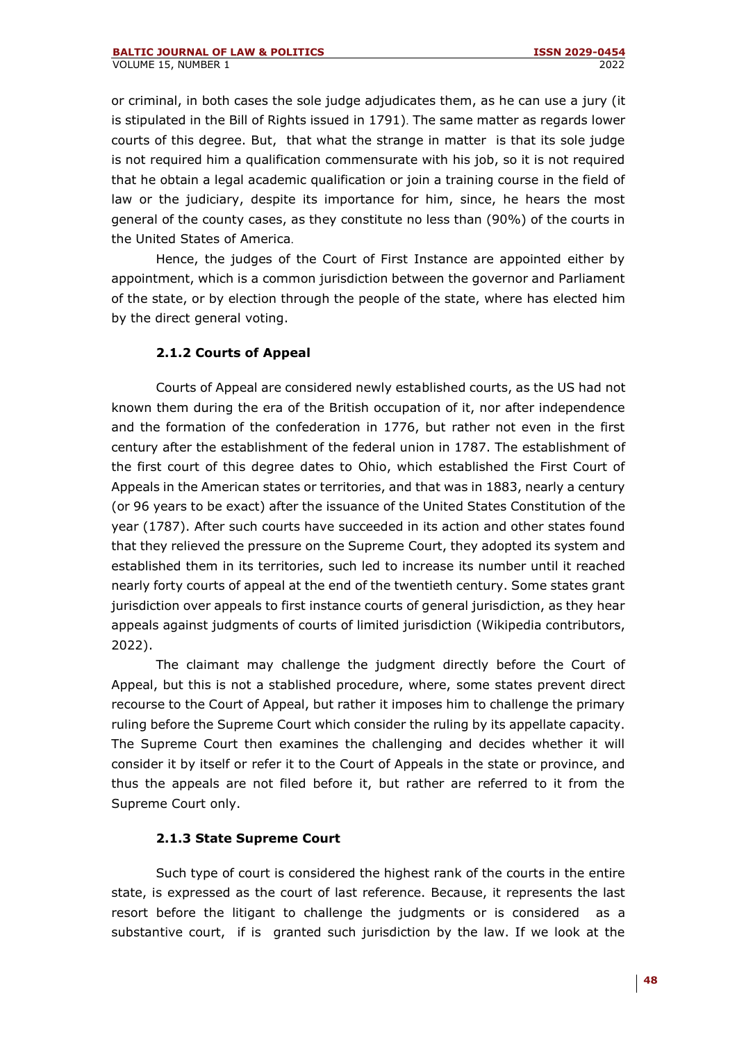or criminal, in both cases the sole judge adjudicates them, as he can use a jury (it is stipulated in the Bill of Rights issued in 1791). The same matter as regards lower courts of this degree. But, that what the strange in matter is that its sole judge is not required him a qualification commensurate with his job, so it is not required that he obtain a legal academic qualification or join a training course in the field of law or the judiciary, despite its importance for him, since, he hears the most general of the county cases, as they constitute no less than (90%) of the courts in the United States of America.

Hence, the judges of the Court of First Instance are appointed either by appointment, which is a common jurisdiction between the governor and Parliament of the state, or by election through the people of the state, where has elected him by the direct general voting.

# **2.1.2 Courts of Appeal**

Courts of Appeal are considered newly established courts, as the US had not known them during the era of the British occupation of it, nor after independence and the formation of the confederation in 1776, but rather not even in the first century after the establishment of the federal union in 1787. The establishment of the first court of this degree dates to Ohio, which established the First Court of Appeals in the American states or territories, and that was in 1883, nearly a century (or 96 years to be exact) after the issuance of the United States Constitution of the year (1787). After such courts have succeeded in its action and other states found that they relieved the pressure on the Supreme Court, they adopted its system and established them in its territories, such led to increase its number until it reached nearly forty courts of appeal at the end of the twentieth century. Some states grant jurisdiction over appeals to first instance courts of general jurisdiction, as they hear appeals against judgments of courts of limited jurisdiction (Wikipedia contributors, 2022).

The claimant may challenge the judgment directly before the Court of Appeal, but this is not a stablished procedure, where, some states prevent direct recourse to the Court of Appeal, but rather it imposes him to challenge the primary ruling before the Supreme Court which consider the ruling by its appellate capacity. The Supreme Court then examines the challenging and decides whether it will consider it by itself or refer it to the Court of Appeals in the state or province, and thus the appeals are not filed before it, but rather are referred to it from the Supreme Court only.

### **2.1.3 State Supreme Court**

Such type of court is considered the highest rank of the courts in the entire state, is expressed as the court of last reference. Because, it represents the last resort before the litigant to challenge the judgments or is considered as a substantive court, if is granted such jurisdiction by the law. If we look at the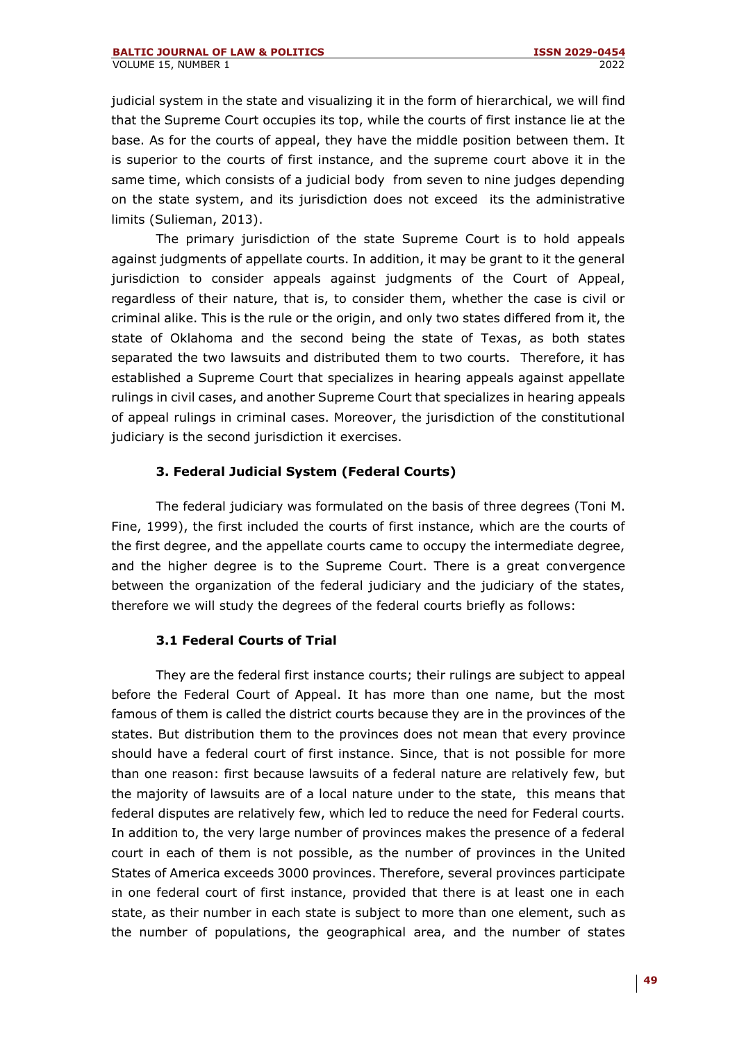judicial system in the state and visualizing it in the form of hierarchical, we will find that the Supreme Court occupies its top, while the courts of first instance lie at the base. As for the courts of appeal, they have the middle position between them. It is superior to the courts of first instance, and the supreme court above it in the same time, which consists of a judicial body from seven to nine judges depending on the state system, and its jurisdiction does not exceed its the administrative limits (Sulieman, 2013).

The primary jurisdiction of the state Supreme Court is to hold appeals against judgments of appellate courts. In addition, it may be grant to it the general jurisdiction to consider appeals against judgments of the Court of Appeal, regardless of their nature, that is, to consider them, whether the case is civil or criminal alike. This is the rule or the origin, and only two states differed from it, the state of Oklahoma and the second being the state of Texas, as both states separated the two lawsuits and distributed them to two courts. Therefore, it has established a Supreme Court that specializes in hearing appeals against appellate rulings in civil cases, and another Supreme Court that specializes in hearing appeals of appeal rulings in criminal cases. Moreover, the jurisdiction of the constitutional judiciary is the second jurisdiction it exercises.

# **3. Federal Judicial System (Federal Courts)**

The federal judiciary was formulated on the basis of three degrees (Toni M. Fine, 1999), the first included the courts of first instance, which are the courts of the first degree, and the appellate courts came to occupy the intermediate degree, and the higher degree is to the Supreme Court. There is a great convergence between the organization of the federal judiciary and the judiciary of the states, therefore we will study the degrees of the federal courts briefly as follows:

### **3.1 Federal Courts of Trial**

They are the federal first instance courts; their rulings are subject to appeal before the Federal Court of Appeal. It has more than one name, but the most famous of them is called the district courts because they are in the provinces of the states. But distribution them to the provinces does not mean that every province should have a federal court of first instance. Since, that is not possible for more than one reason: first because lawsuits of a federal nature are relatively few, but the majority of lawsuits are of a local nature under to the state, this means that federal disputes are relatively few, which led to reduce the need for Federal courts. In addition to, the very large number of provinces makes the presence of a federal court in each of them is not possible, as the number of provinces in the United States of America exceeds 3000 provinces. Therefore, several provinces participate in one federal court of first instance, provided that there is at least one in each state, as their number in each state is subject to more than one element, such as the number of populations, the geographical area, and the number of states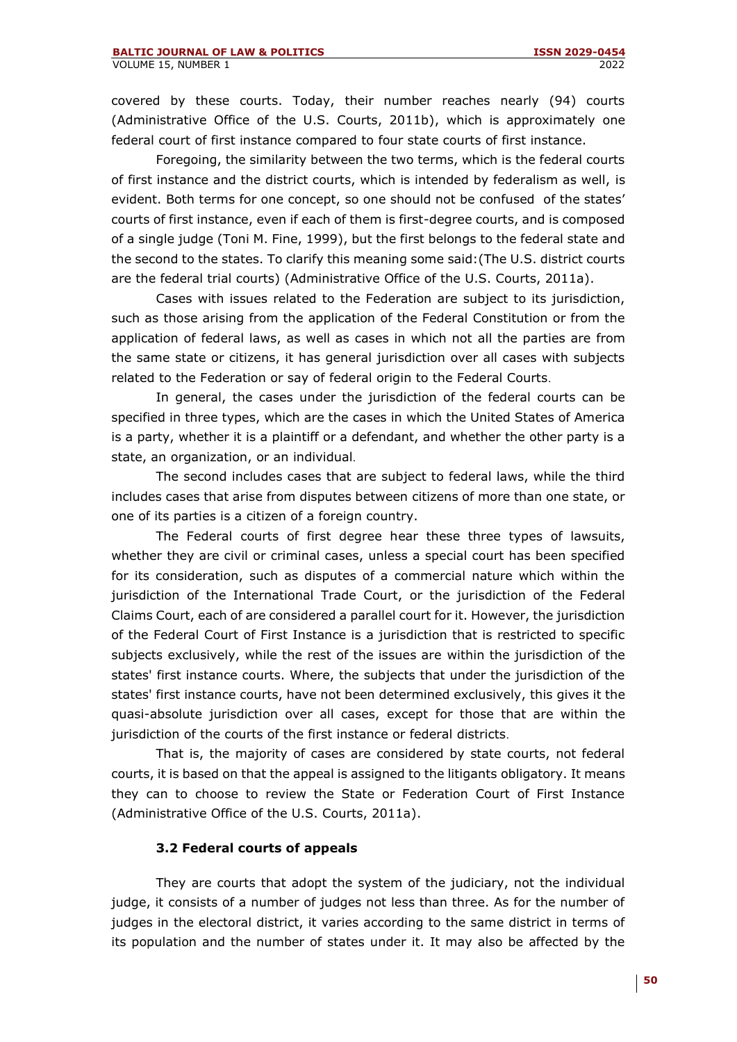covered by these courts. Today, their number reaches nearly (94) courts (Administrative Office of the U.S. Courts, 2011b), which is approximately one federal court of first instance compared to four state courts of first instance.

Foregoing, the similarity between the two terms, which is the federal courts of first instance and the district courts, which is intended by federalism as well, is evident. Both terms for one concept, so one should not be confused of the states' courts of first instance, even if each of them is first-degree courts, and is composed of a single judge (Toni M. Fine, 1999), but the first belongs to the federal state and the second to the states. To clarify this meaning some said:(The U.S. district courts are the federal trial courts) (Administrative Office of the U.S. Courts, 2011a).

Cases with issues related to the Federation are subject to its jurisdiction, such as those arising from the application of the Federal Constitution or from the application of federal laws, as well as cases in which not all the parties are from the same state or citizens, it has general jurisdiction over all cases with subjects related to the Federation or say of federal origin to the Federal Courts.

In general, the cases under the jurisdiction of the federal courts can be specified in three types, which are the cases in which the United States of America is a party, whether it is a plaintiff or a defendant, and whether the other party is a state, an organization, or an individual.

The second includes cases that are subject to federal laws, while the third includes cases that arise from disputes between citizens of more than one state, or one of its parties is a citizen of a foreign country.

The Federal courts of first degree hear these three types of lawsuits, whether they are civil or criminal cases, unless a special court has been specified for its consideration, such as disputes of a commercial nature which within the jurisdiction of the International Trade Court, or the jurisdiction of the Federal Claims Court, each of are considered a parallel court for it. However, the jurisdiction of the Federal Court of First Instance is a jurisdiction that is restricted to specific subjects exclusively, while the rest of the issues are within the jurisdiction of the states' first instance courts. Where, the subjects that under the jurisdiction of the states' first instance courts, have not been determined exclusively, this gives it the quasi-absolute jurisdiction over all cases, except for those that are within the jurisdiction of the courts of the first instance or federal districts.

That is, the majority of cases are considered by state courts, not federal courts, it is based on that the appeal is assigned to the litigants obligatory. It means they can to choose to review the State or Federation Court of First Instance (Administrative Office of the U.S. Courts, 2011a).

### **3.2 Federal courts of appeals**

They are courts that adopt the system of the judiciary, not the individual judge, it consists of a number of judges not less than three. As for the number of judges in the electoral district, it varies according to the same district in terms of its population and the number of states under it. It may also be affected by the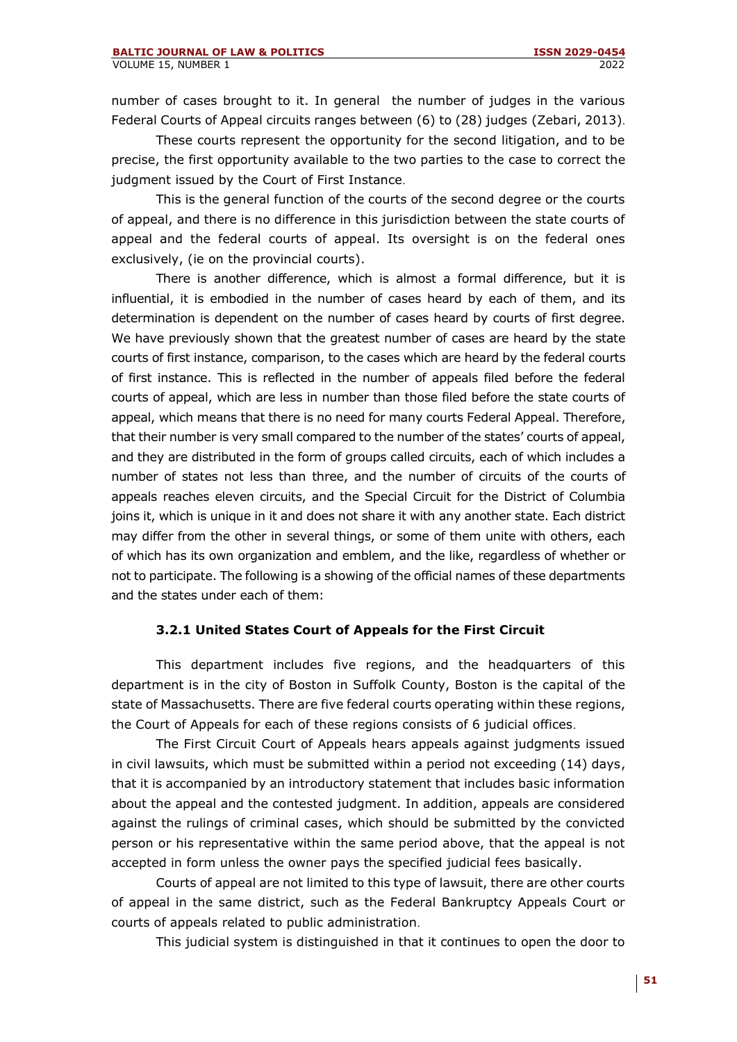number of cases brought to it. In general the number of judges in the various Federal Courts of Appeal circuits ranges between (6) to (28) judges (Zebari, 2013) .

These courts represent the opportunity for the second litigation, and to be precise, the first opportunity available to the two parties to the case to correct the judgment issued by the Court of First Instance.

This is the general function of the courts of the second degree or the courts of appeal, and there is no difference in this jurisdiction between the state courts of appeal and the federal courts of appeal. Its oversight is on the federal ones exclusively, (ie on the provincial courts).

There is another difference, which is almost a formal difference, but it is influential, it is embodied in the number of cases heard by each of them, and its determination is dependent on the number of cases heard by courts of first degree. We have previously shown that the greatest number of cases are heard by the state courts of first instance, comparison, to the cases which are heard by the federal courts of first instance. This is reflected in the number of appeals filed before the federal courts of appeal, which are less in number than those filed before the state courts of appeal, which means that there is no need for many courts Federal Appeal. Therefore, that their number is very small compared to the number of the states' courts of appeal, and they are distributed in the form of groups called circuits, each of which includes a number of states not less than three, and the number of circuits of the courts of appeals reaches eleven circuits, and the Special Circuit for the District of Columbia joins it, which is unique in it and does not share it with any another state. Each district may differ from the other in several things, or some of them unite with others, each of which has its own organization and emblem, and the like, regardless of whether or not to participate. The following is a showing of the official names of these departments and the states under each of them:

### **3.2.1 United States Court of Appeals for the First Circuit**

This department includes five regions, and the headquarters of this department is in the city of Boston in Suffolk County, Boston is the capital of the state of Massachusetts. There are five federal courts operating within these regions, the Court of Appeals for each of these regions consists of 6 judicial offices .

The First Circuit Court of Appeals hears appeals against judgments issued in civil lawsuits, which must be submitted within a period not exceeding (14) days, that it is accompanied by an introductory statement that includes basic information about the appeal and the contested judgment. In addition, appeals are considered against the rulings of criminal cases, which should be submitted by the convicted person or his representative within the same period above, that the appeal is not accepted in form unless the owner pays the specified judicial fees basically.

Courts of appeal are not limited to this type of lawsuit, there are other courts of appeal in the same district, such as the Federal Bankruptcy Appeals Court or courts of appeals related to public administration.

This judicial system is distinguished in that it continues to open the door to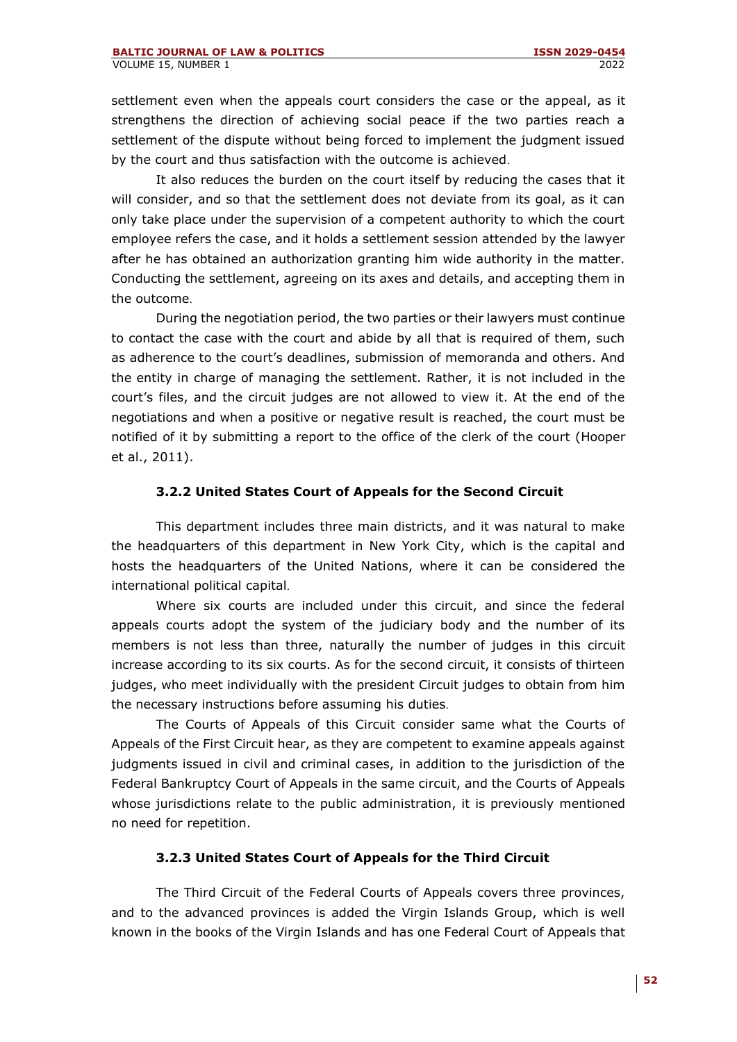settlement even when the appeals court considers the case or the appeal, as it strengthens the direction of achieving social peace if the two parties reach a settlement of the dispute without being forced to implement the judgment issued by the court and thus satisfaction with the outcome is achieved .

It also reduces the burden on the court itself by reducing the cases that it will consider, and so that the settlement does not deviate from its goal, as it can only take place under the supervision of a competent authority to which the court employee refers the case, and it holds a settlement session attended by the lawyer after he has obtained an authorization granting him wide authority in the matter. Conducting the settlement, agreeing on its axes and details, and accepting them in the outcome.

During the negotiation period, the two parties or their lawyers must continue to contact the case with the court and abide by all that is required of them, such as adherence to the court's deadlines, submission of memoranda and others. And the entity in charge of managing the settlement. Rather, it is not included in the court's files, and the circuit judges are not allowed to view it. At the end of the negotiations and when a positive or negative result is reached, the court must be notified of it by submitting a report to the office of the clerk of the court (Hooper et al., 2011).

### **3.2.2 United States Court of Appeals for the Second Circuit**

This department includes three main districts, and it was natural to make the headquarters of this department in New York City, which is the capital and hosts the headquarters of the United Nations, where it can be considered the international political capital.

Where six courts are included under this circuit, and since the federal appeals courts adopt the system of the judiciary body and the number of its members is not less than three, naturally the number of judges in this circuit increase according to its six courts. As for the second circuit, it consists of thirteen judges, who meet individually with the president Circuit judges to obtain from him the necessary instructions before assuming his duties.

The Courts of Appeals of this Circuit consider same what the Courts of Appeals of the First Circuit hear, as they are competent to examine appeals against judgments issued in civil and criminal cases, in addition to the jurisdiction of the Federal Bankruptcy Court of Appeals in the same circuit, and the Courts of Appeals whose jurisdictions relate to the public administration, it is previously mentioned no need for repetition.

### **3.2.3 United States Court of Appeals for the Third Circuit**

The Third Circuit of the Federal Courts of Appeals covers three provinces, and to the advanced provinces is added the Virgin Islands Group, which is well known in the books of the Virgin Islands and has one Federal Court of Appeals that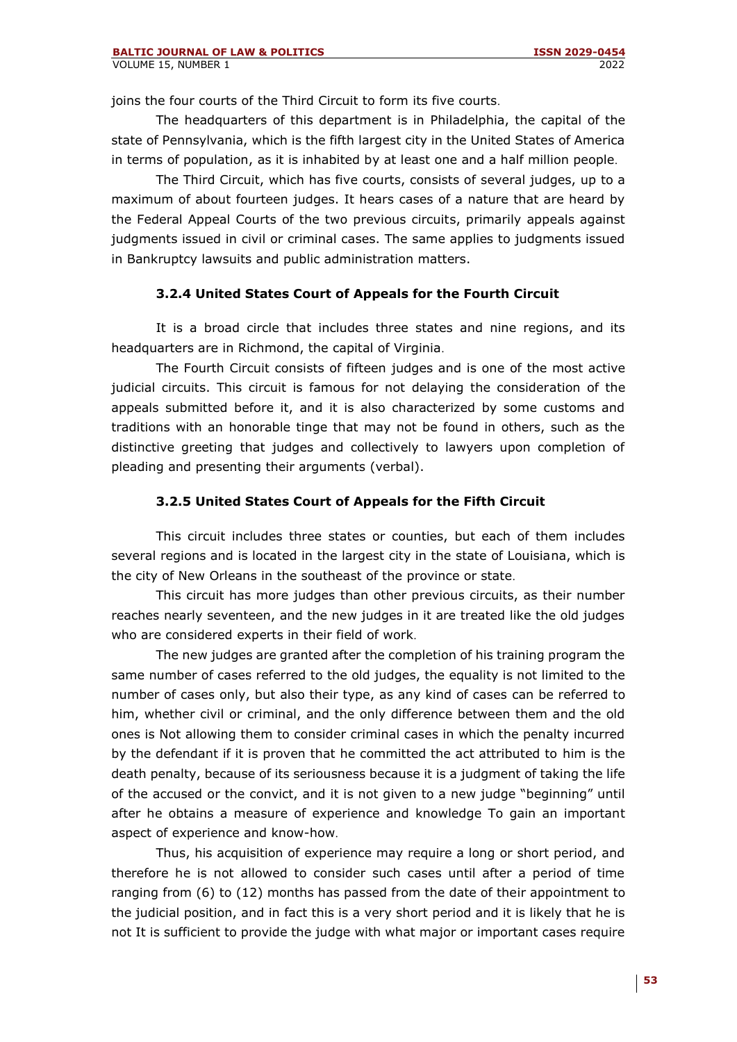joins the four courts of the Third Circuit to form its five courts.

The headquarters of this department is in Philadelphia, the capital of the state of Pennsylvania, which is the fifth largest city in the United States of America in terms of population, as it is inhabited by at least one and a half million people.

The Third Circuit, which has five courts, consists of several judges, up to a maximum of about fourteen judges. It hears cases of a nature that are heard by the Federal Appeal Courts of the two previous circuits, primarily appeals against judgments issued in civil or criminal cases. The same applies to judgments issued in Bankruptcy lawsuits and public administration matters.

### **3.2.4 United States Court of Appeals for the Fourth Circuit**

It is a broad circle that includes three states and nine regions, and its headquarters are in Richmond, the capital of Virginia.

The Fourth Circuit consists of fifteen judges and is one of the most active judicial circuits. This circuit is famous for not delaying the consideration of the appeals submitted before it, and it is also characterized by some customs and traditions with an honorable tinge that may not be found in others, such as the distinctive greeting that judges and collectively to lawyers upon completion of pleading and presenting their arguments (verbal).

### **3.2.5 United States Court of Appeals for the Fifth Circuit**

This circuit includes three states or counties, but each of them includes several regions and is located in the largest city in the state of Louisiana, which is the city of New Orleans in the southeast of the province or state.

This circuit has more judges than other previous circuits, as their number reaches nearly seventeen, and the new judges in it are treated like the old judges who are considered experts in their field of work.

The new judges are granted after the completion of his training program the same number of cases referred to the old judges, the equality is not limited to the number of cases only, but also their type, as any kind of cases can be referred to him, whether civil or criminal, and the only difference between them and the old ones is Not allowing them to consider criminal cases in which the penalty incurred by the defendant if it is proven that he committed the act attributed to him is the death penalty, because of its seriousness because it is a judgment of taking the life of the accused or the convict, and it is not given to a new judge "beginning" until after he obtains a measure of experience and knowledge To gain an important aspect of experience and know-how.

Thus, his acquisition of experience may require a long or short period, and therefore he is not allowed to consider such cases until after a period of time ranging from (6) to (12) months has passed from the date of their appointment to the judicial position, and in fact this is a very short period and it is likely that he is not It is sufficient to provide the judge with what major or important cases require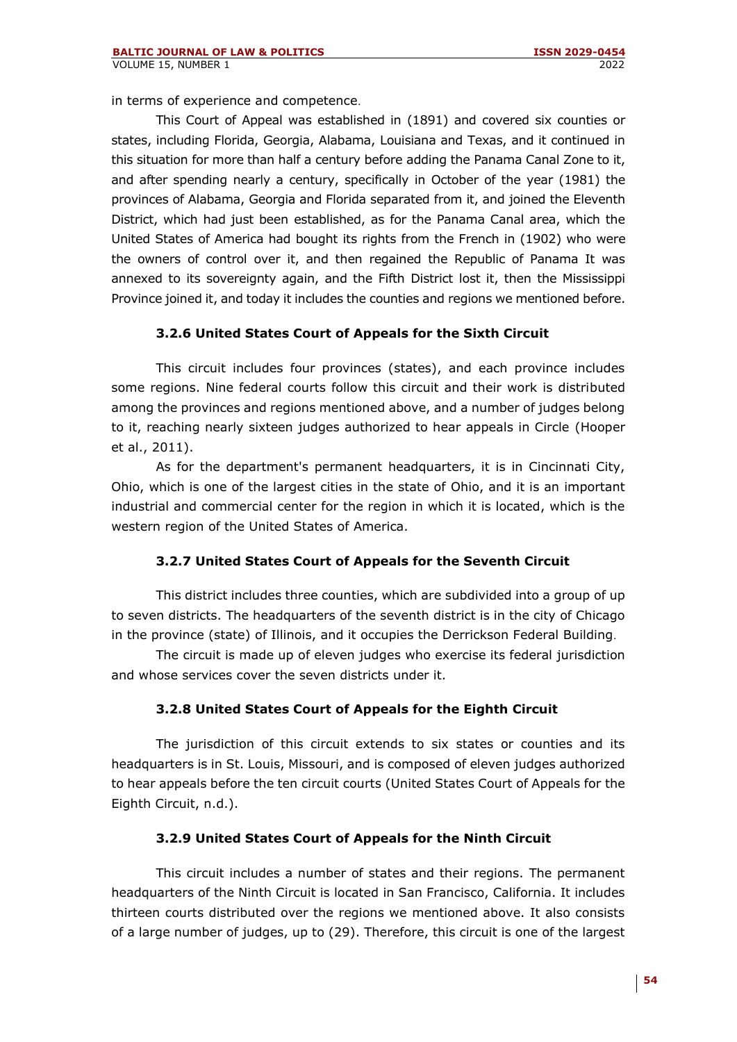in terms of experience and competence.

This Court of Appeal was established in (1891) and covered six counties or states, including Florida, Georgia, Alabama, Louisiana and Texas, and it continued in this situation for more than half a century before adding the Panama Canal Zone to it, and after spending nearly a century, specifically in October of the year (1981) the provinces of Alabama, Georgia and Florida separated from it, and joined the Eleventh District, which had just been established, as for the Panama Canal area, which the United States of America had bought its rights from the French in (1902) who were the owners of control over it, and then regained the Republic of Panama It was annexed to its sovereignty again, and the Fifth District lost it, then the Mississippi Province joined it, and today it includes the counties and regions we mentioned before.

### **3.2.6 United States Court of Appeals for the Sixth Circuit**

This circuit includes four provinces (states), and each province includes some regions. Nine federal courts follow this circuit and their work is distributed among the provinces and regions mentioned above, and a number of judges belong to it, reaching nearly sixteen judges authorized to hear appeals in Circle (Hooper et al., 2011).

As for the department's permanent headquarters, it is in Cincinnati City, Ohio, which is one of the largest cities in the state of Ohio, and it is an important industrial and commercial center for the region in which it is located, which is the western region of the United States of America.

### **3.2.7 United States Court of Appeals for the Seventh Circuit**

This district includes three counties, which are subdivided into a group of up to seven districts. The headquarters of the seventh district is in the city of Chicago in the province (state) of Illinois, and it occupies the Derrickson Federal Building .

The circuit is made up of eleven judges who exercise its federal jurisdiction and whose services cover the seven districts under it.

### **3.2.8 United States Court of Appeals for the Eighth Circuit**

The jurisdiction of this circuit extends to six states or counties and its headquarters is in St. Louis, Missouri, and is composed of eleven judges authorized to hear appeals before the ten circuit courts (United States Court of Appeals for the Eighth Circuit, n.d.).

#### **3.2.9 United States Court of Appeals for the Ninth Circuit**

This circuit includes a number of states and their regions. The permanent headquarters of the Ninth Circuit is located in San Francisco, California. It includes thirteen courts distributed over the regions we mentioned above. It also consists of a large number of judges, up to (29). Therefore, this circuit is one of the largest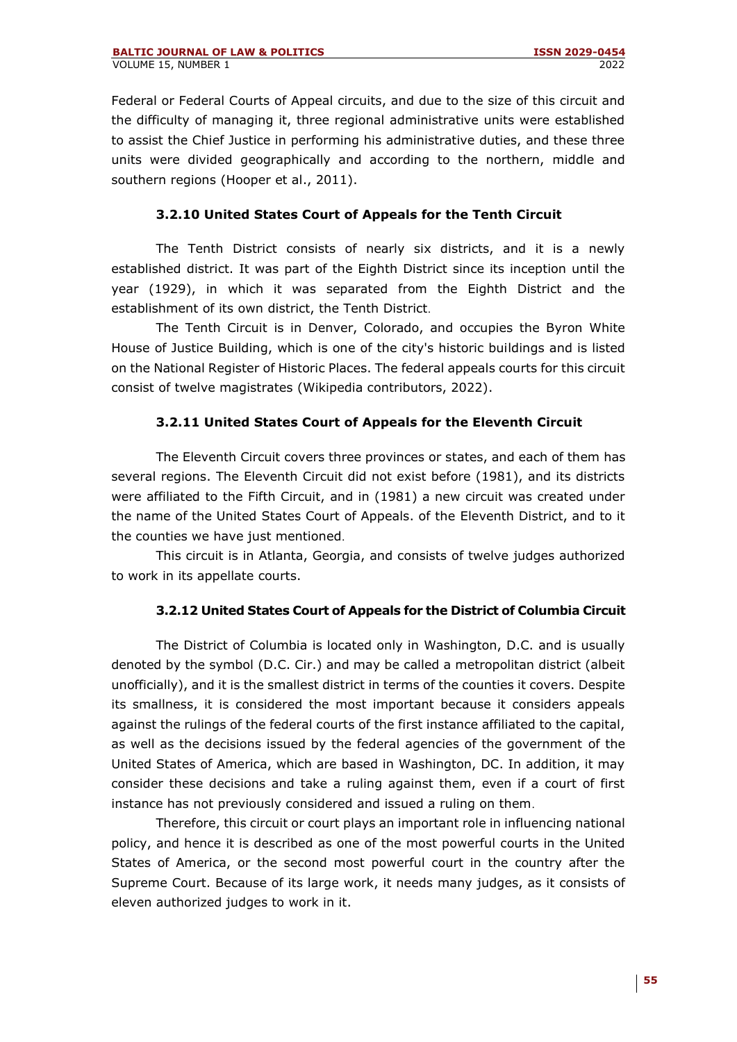Federal or Federal Courts of Appeal circuits, and due to the size of this circuit and the difficulty of managing it, three regional administrative units were established to assist the Chief Justice in performing his administrative duties, and these three units were divided geographically and according to the northern, middle and southern regions (Hooper et al., 2011).

# **3.2.10 United States Court of Appeals for the Tenth Circuit**

The Tenth District consists of nearly six districts, and it is a newly established district. It was part of the Eighth District since its inception until the year (1929), in which it was separated from the Eighth District and the establishment of its own district, the Tenth District.

The Tenth Circuit is in Denver, Colorado, and occupies the Byron White House of Justice Building, which is one of the city's historic buildings and is listed on the National Register of Historic Places. The federal appeals courts for this circuit consist of twelve magistrates (Wikipedia contributors, 2022).

# **3.2.11 United States Court of Appeals for the Eleventh Circuit**

The Eleventh Circuit covers three provinces or states, and each of them has several regions. The Eleventh Circuit did not exist before (1981), and its districts were affiliated to the Fifth Circuit, and in (1981) a new circuit was created under the name of the United States Court of Appeals. of the Eleventh District, and to it the counties we have just mentioned.

This circuit is in Atlanta, Georgia, and consists of twelve judges authorized to work in its appellate courts.

### **3.2.12 United States Court of Appeals for the District of Columbia Circuit**

The District of Columbia is located only in Washington, D.C. and is usually denoted by the symbol (D.C. Cir.) and may be called a metropolitan district (albeit unofficially), and it is the smallest district in terms of the counties it covers. Despite its smallness, it is considered the most important because it considers appeals against the rulings of the federal courts of the first instance affiliated to the capital, as well as the decisions issued by the federal agencies of the government of the United States of America, which are based in Washington, DC. In addition, it may consider these decisions and take a ruling against them, even if a court of first instance has not previously considered and issued a ruling on them.

Therefore, this circuit or court plays an important role in influencing national policy, and hence it is described as one of the most powerful courts in the United States of America, or the second most powerful court in the country after the Supreme Court. Because of its large work, it needs many judges, as it consists of eleven authorized judges to work in it.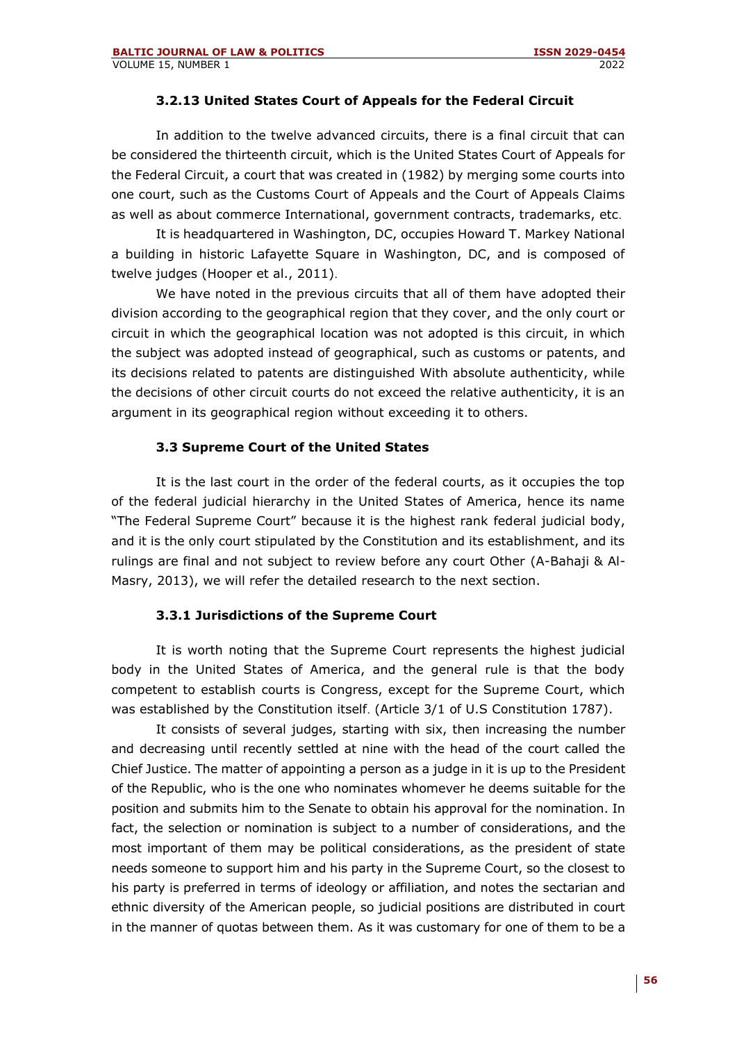#### **3.2.13 United States Court of Appeals for the Federal Circuit**

In addition to the twelve advanced circuits, there is a final circuit that can be considered the thirteenth circuit, which is the United States Court of Appeals for the Federal Circuit, a court that was created in (1982) by merging some courts into one court, such as the Customs Court of Appeals and the Court of Appeals Claims as well as about commerce International, government contracts, trademarks, etc.

It is headquartered in Washington, DC, occupies Howard T. Markey National a building in historic Lafayette Square in Washington, DC, and is composed of twelve judges (Hooper et al., 2011).

We have noted in the previous circuits that all of them have adopted their division according to the geographical region that they cover, and the only court or circuit in which the geographical location was not adopted is this circuit, in which the subject was adopted instead of geographical, such as customs or patents, and its decisions related to patents are distinguished With absolute authenticity, while the decisions of other circuit courts do not exceed the relative authenticity, it is an argument in its geographical region without exceeding it to others.

### **3.3 Supreme Court of the United States**

It is the last court in the order of the federal courts, as it occupies the top of the federal judicial hierarchy in the United States of America, hence its name "The Federal Supreme Court" because it is the highest rank federal judicial body, and it is the only court stipulated by the Constitution and its establishment, and its rulings are final and not subject to review before any court Other (A-Bahaji & Al-Masry, 2013), we will refer the detailed research to the next section.

### **3.3.1 Jurisdictions of the Supreme Court**

It is worth noting that the Supreme Court represents the highest judicial body in the United States of America, and the general rule is that the body competent to establish courts is Congress, except for the Supreme Court, which was established by the Constitution itself. (Article 3/1 of U.S Constitution 1787).

It consists of several judges, starting with six, then increasing the number and decreasing until recently settled at nine with the head of the court called the Chief Justice. The matter of appointing a person as a judge in it is up to the President of the Republic, who is the one who nominates whomever he deems suitable for the position and submits him to the Senate to obtain his approval for the nomination. In fact, the selection or nomination is subject to a number of considerations, and the most important of them may be political considerations, as the president of state needs someone to support him and his party in the Supreme Court, so the closest to his party is preferred in terms of ideology or affiliation, and notes the sectarian and ethnic diversity of the American people, so judicial positions are distributed in court in the manner of quotas between them. As it was customary for one of them to be a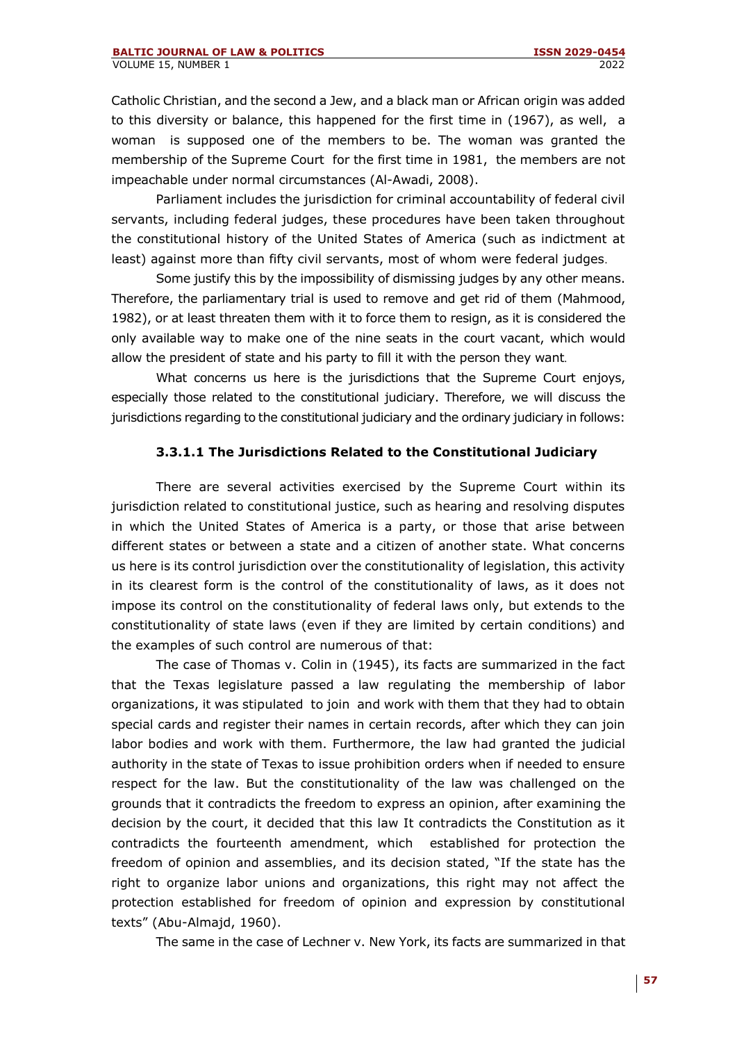Catholic Christian, and the second a Jew, and a black man or African origin was added to this diversity or balance, this happened for the first time in (1967), as well, a woman is supposed one of the members to be. The woman was granted the membership of the Supreme Court for the first time in 1981, the members are not impeachable under normal circumstances (Al-Awadi, 2008).

Parliament includes the jurisdiction for criminal accountability of federal civil servants, including federal judges, these procedures have been taken throughout the constitutional history of the United States of America (such as indictment at least) against more than fifty civil servants, most of whom were federal judges.

Some justify this by the impossibility of dismissing judges by any other means. Therefore, the parliamentary trial is used to remove and get rid of them (Mahmood, 1982), or at least threaten them with it to force them to resign, as it is considered the only available way to make one of the nine seats in the court vacant, which would allow the president of state and his party to fill it with the person they want.

What concerns us here is the jurisdictions that the Supreme Court enjoys, especially those related to the constitutional judiciary. Therefore, we will discuss the jurisdictions regarding to the constitutional judiciary and the ordinary judiciary in follows:

### **3.3.1.1 The Jurisdictions Related to the Constitutional Judiciary**

There are several activities exercised by the Supreme Court within its jurisdiction related to constitutional justice, such as hearing and resolving disputes in which the United States of America is a party, or those that arise between different states or between a state and a citizen of another state. What concerns us here is its control jurisdiction over the constitutionality of legislation, this activity in its clearest form is the control of the constitutionality of laws, as it does not impose its control on the constitutionality of federal laws only, but extends to the constitutionality of state laws (even if they are limited by certain conditions) and the examples of such control are numerous of that:

The case of Thomas v. Colin in (1945), its facts are summarized in the fact that the Texas legislature passed a law regulating the membership of labor organizations, it was stipulated to join and work with them that they had to obtain special cards and register their names in certain records, after which they can join labor bodies and work with them. Furthermore, the law had granted the judicial authority in the state of Texas to issue prohibition orders when if needed to ensure respect for the law. But the constitutionality of the law was challenged on the grounds that it contradicts the freedom to express an opinion, after examining the decision by the court, it decided that this law It contradicts the Constitution as it contradicts the fourteenth amendment, which established for protection the freedom of opinion and assemblies, and its decision stated, "If the state has the right to organize labor unions and organizations, this right may not affect the protection established for freedom of opinion and expression by constitutional texts" (Abu-Almajd, 1960).

The same in the case of Lechner v. New York, its facts are summarized in that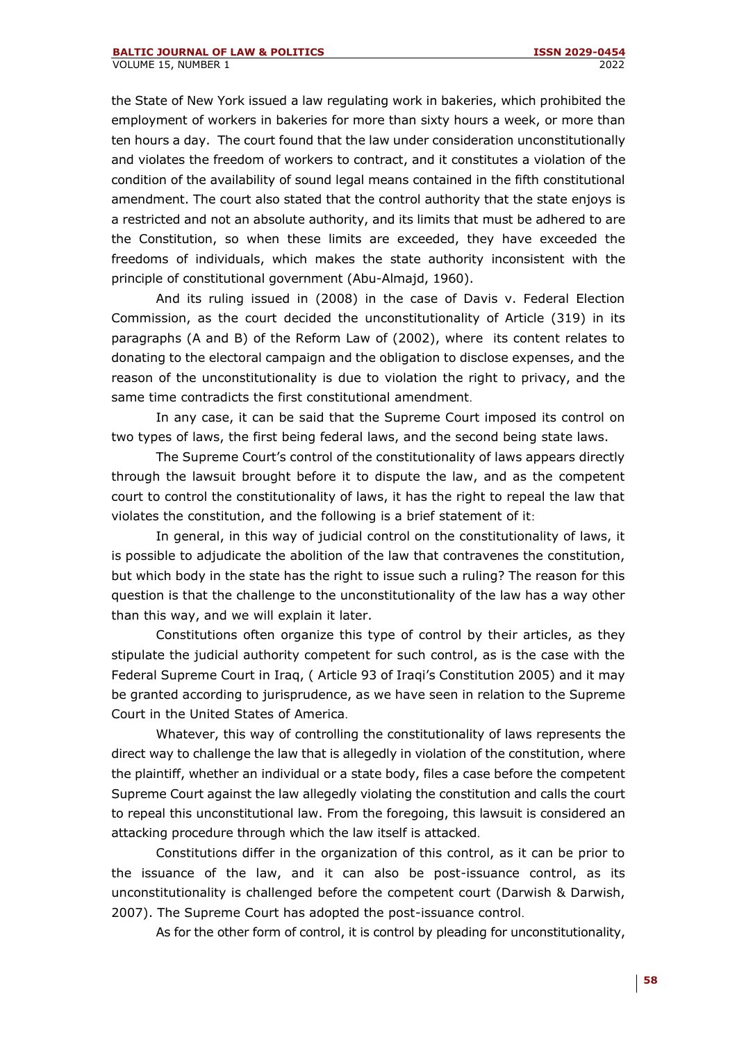the State of New York issued a law regulating work in bakeries, which prohibited the employment of workers in bakeries for more than sixty hours a week, or more than ten hours a day. The court found that the law under consideration unconstitutionally and violates the freedom of workers to contract, and it constitutes a violation of the condition of the availability of sound legal means contained in the fifth constitutional amendment. The court also stated that the control authority that the state enjoys is a restricted and not an absolute authority, and its limits that must be adhered to are the Constitution, so when these limits are exceeded, they have exceeded the freedoms of individuals, which makes the state authority inconsistent with the principle of constitutional government (Abu-Almajd, 1960).

And its ruling issued in (2008) in the case of Davis v. Federal Election Commission, as the court decided the unconstitutionality of Article (319) in its paragraphs (A and B) of the Reform Law of (2002), where its content relates to donating to the electoral campaign and the obligation to disclose expenses, and the reason of the unconstitutionality is due to violation the right to privacy, and the same time contradicts the first constitutional amendment.

In any case, it can be said that the Supreme Court imposed its control on two types of laws, the first being federal laws, and the second being state laws.

The Supreme Court's control of the constitutionality of laws appears directly through the lawsuit brought before it to dispute the law, and as the competent court to control the constitutionality of laws, it has the right to repeal the law that violates the constitution, and the following is a brief statement of it :

In general, in this way of judicial control on the constitutionality of laws, it is possible to adjudicate the abolition of the law that contravenes the constitution, but which body in the state has the right to issue such a ruling? The reason for this question is that the challenge to the unconstitutionality of the law has a way other than this way, and we will explain it later.

Constitutions often organize this type of control by their articles, as they stipulate the judicial authority competent for such control, as is the case with the Federal Supreme Court in Iraq, ( Article 93 of Iraqi's Constitution 2005) and it may be granted according to jurisprudence, as we have seen in relation to the Supreme Court in the United States of America .

Whatever, this way of controlling the constitutionality of laws represents the direct way to challenge the law that is allegedly in violation of the constitution, where the plaintiff, whether an individual or a state body, files a case before the competent Supreme Court against the law allegedly violating the constitution and calls the court to repeal this unconstitutional law. From the foregoing, this lawsuit is considered an attacking procedure through which the law itself is attacked.

Constitutions differ in the organization of this control, as it can be prior to the issuance of the law, and it can also be post-issuance control, as its unconstitutionality is challenged before the competent court (Darwish & Darwish, 2007). The Supreme Court has adopted the post-issuance control.

As for the other form of control, it is control by pleading for unconstitutionality,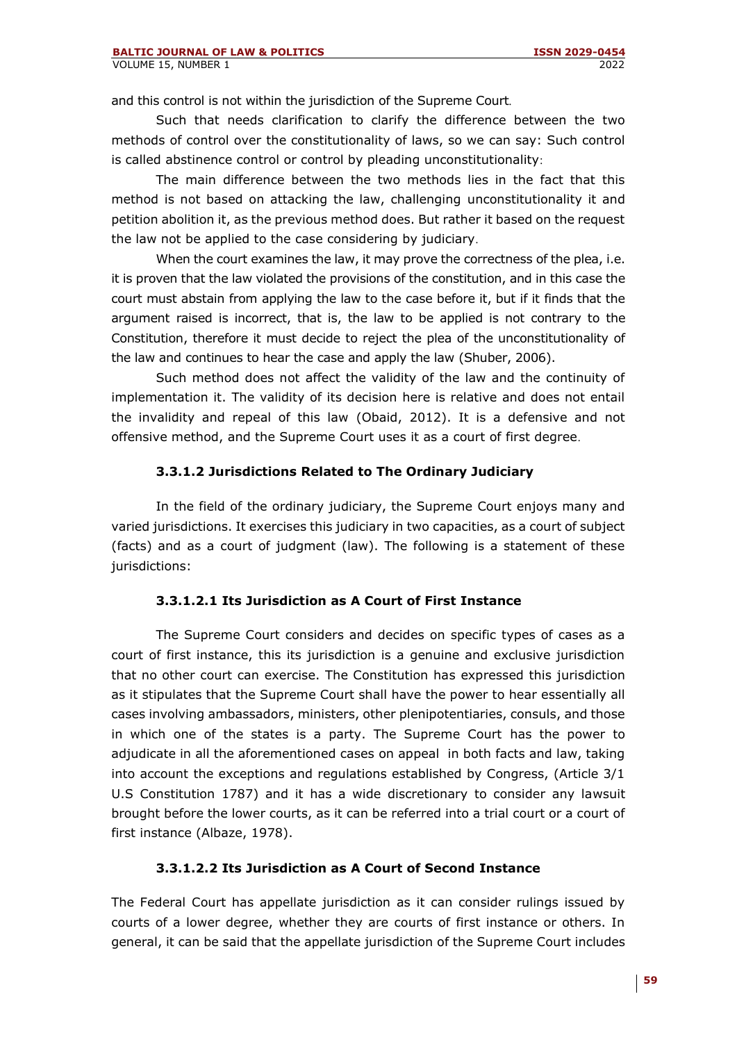and this control is not within the jurisdiction of the Supreme Court.

Such that needs clarification to clarify the difference between the two methods of control over the constitutionality of laws, so we can say: Such control is called abstinence control or control by pleading unconstitutionality:

The main difference between the two methods lies in the fact that this method is not based on attacking the law, challenging unconstitutionality it and petition abolition it, as the previous method does. But rather it based on the request the law not be applied to the case considering by judiciary.

When the court examines the law, it may prove the correctness of the plea, i.e. it is proven that the law violated the provisions of the constitution, and in this case the court must abstain from applying the law to the case before it, but if it finds that the argument raised is incorrect, that is, the law to be applied is not contrary to the Constitution, therefore it must decide to reject the plea of the unconstitutionality of the law and continues to hear the case and apply the law (Shuber, 2006).

Such method does not affect the validity of the law and the continuity of implementation it. The validity of its decision here is relative and does not entail the invalidity and repeal of this law (Obaid, 2012). It is a defensive and not offensive method, and the Supreme Court uses it as a court of first degree .

# **3.3.1.2 Jurisdictions Related to The Ordinary Judiciary**

In the field of the ordinary judiciary, the Supreme Court enjoys many and varied jurisdictions. It exercises this judiciary in two capacities, as a court of subject (facts) and as a court of judgment (law). The following is a statement of these jurisdictions:

### **3.3.1.2.1 Its Jurisdiction as A Court of First Instance**

The Supreme Court considers and decides on specific types of cases as a court of first instance, this its jurisdiction is a genuine and exclusive jurisdiction that no other court can exercise. The Constitution has expressed this jurisdiction as it stipulates that the Supreme Court shall have the power to hear essentially all cases involving ambassadors, ministers, other plenipotentiaries, consuls, and those in which one of the states is a party. The Supreme Court has the power to adjudicate in all the aforementioned cases on appeal in both facts and law, taking into account the exceptions and regulations established by Congress, (Article 3/1 U.S Constitution 1787) and it has a wide discretionary to consider any lawsuit brought before the lower courts, as it can be referred into a trial court or a court of first instance (Albaze, 1978).

### **3.3.1.2.2 Its Jurisdiction as A Court of Second Instance**

The Federal Court has appellate jurisdiction as it can consider rulings issued by courts of a lower degree, whether they are courts of first instance or others. In general, it can be said that the appellate jurisdiction of the Supreme Court includes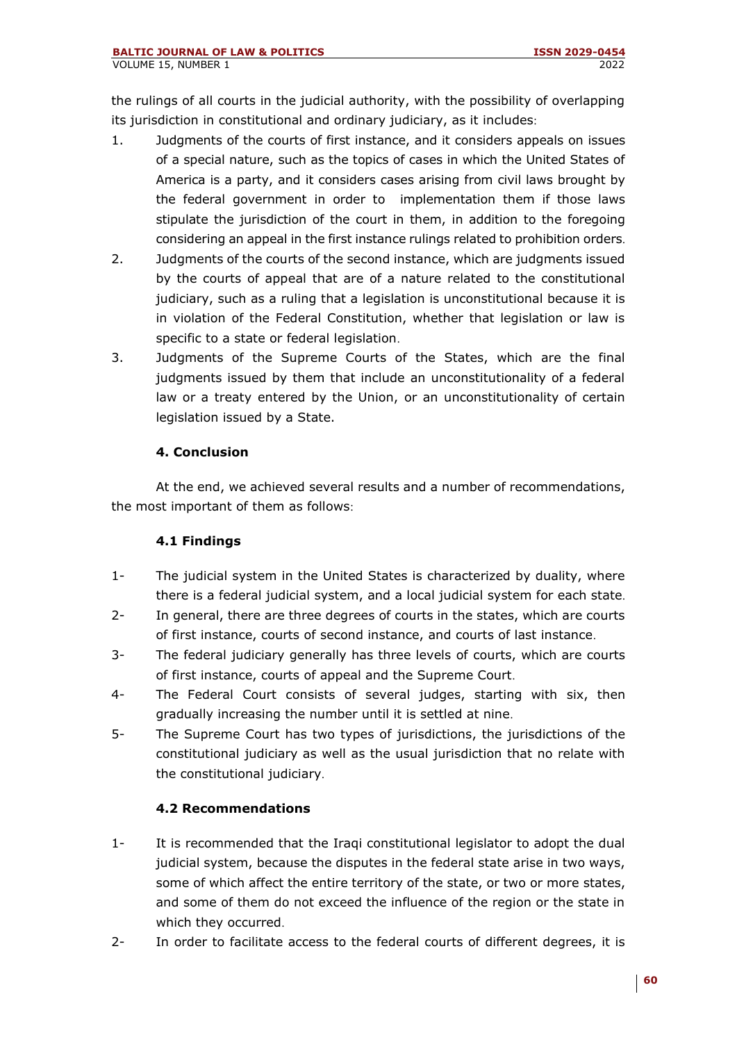the rulings of all courts in the judicial authority, with the possibility of overlapping its jurisdiction in constitutional and ordinary judiciary, as it includes:

- 1. Judgments of the courts of first instance, and it considers appeals on issues of a special nature, such as the topics of cases in which the United States of America is a party, and it considers cases arising from civil laws brought by the federal government in order to implementation them if those laws stipulate the jurisdiction of the court in them, in addition to the foregoing considering an appeal in the first instance rulings related to prohibition orders.
- 2. Judgments of the courts of the second instance, which are judgments issued by the courts of appeal that are of a nature related to the constitutional judiciary, such as a ruling that a legislation is unconstitutional because it is in violation of the Federal Constitution, whether that legislation or law is specific to a state or federal legislation.
- 3. Judgments of the Supreme Courts of the States, which are the final judgments issued by them that include an unconstitutionality of a federal law or a treaty entered by the Union, or an unconstitutionality of certain legislation issued by a State.

# **4. Conclusion**

At the end, we achieved several results and a number of recommendations, the most important of them as follows:

### **4.1 Findings**

- 1- The judicial system in the United States is characterized by duality, where there is a federal judicial system, and a local judicial system for each state.
- 2- In general, there are three degrees of courts in the states, which are courts of first instance, courts of second instance, and courts of last instance .
- 3- The federal judiciary generally has three levels of courts, which are courts of first instance, courts of appeal and the Supreme Court.
- 4- The Federal Court consists of several judges, starting with six, then gradually increasing the number until it is settled at nine.
- 5- The Supreme Court has two types of jurisdictions, the jurisdictions of the constitutional judiciary as well as the usual jurisdiction that no relate with the constitutional judiciary.

# **4.2 Recommendations**

- 1- It is recommended that the Iraqi constitutional legislator to adopt the dual judicial system, because the disputes in the federal state arise in two ways, some of which affect the entire territory of the state, or two or more states, and some of them do not exceed the influence of the region or the state in which they occurred.
- 2- In order to facilitate access to the federal courts of different degrees, it is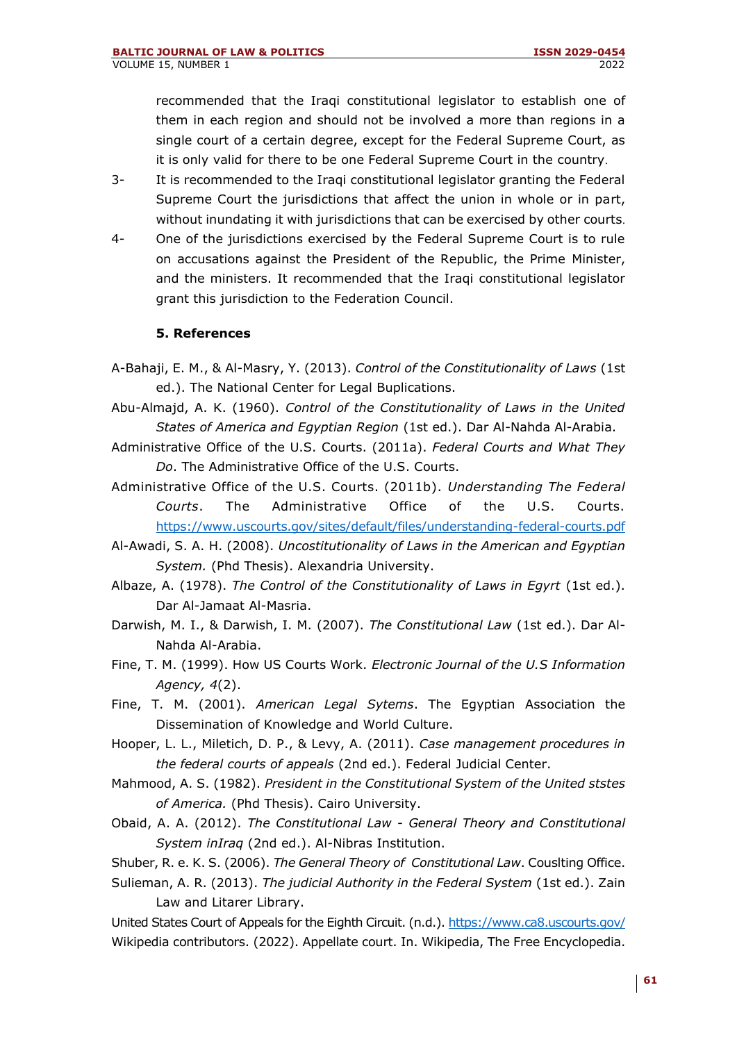recommended that the Iraqi constitutional legislator to establish one of them in each region and should not be involved a more than regions in a single court of a certain degree, except for the Federal Supreme Court, as it is only valid for there to be one Federal Supreme Court in the country.

- 3- It is recommended to the Iraqi constitutional legislator granting the Federal Supreme Court the jurisdictions that affect the union in whole or in part, without inundating it with jurisdictions that can be exercised by other courts.
- 4- One of the jurisdictions exercised by the Federal Supreme Court is to rule on accusations against the President of the Republic, the Prime Minister, and the ministers. It recommended that the Iraqi constitutional legislator grant this jurisdiction to the Federation Council.

### **5. References**

- A-Bahaji, E. M., & Al-Masry, Y. (2013). *Control of the Constitutionality of Laws* (1st ed.). The National Center for Legal Buplications.
- Abu-Almajd, A. K. (1960). *Control of the Constitutionality of Laws in the United States of America and Egyptian Region* (1st ed.). Dar Al-Nahda Al-Arabia.
- Administrative Office of the U.S. Courts. (2011a). *Federal Courts and What They Do*. The Administrative Office of the U.S. Courts.
- Administrative Office of the U.S. Courts. (2011b). *Understanding The Federal Courts*. The Administrative Office of the U.S. Courts. <https://www.uscourts.gov/sites/default/files/understanding-federal-courts.pdf>
- Al-Awadi, S. A. H. (2008). *Uncostitutionality of Laws in the American and Egyptian System.* (Phd Thesis). Alexandria University.
- Albaze, A. (1978). *The Control of the Constitutionality of Laws in Egyrt* (1st ed.). Dar Al-Jamaat Al-Masria.
- Darwish, M. I., & Darwish, I. M. (2007). *The Constitutional Law* (1st ed.). Dar Al-Nahda Al-Arabia.
- Fine, T. M. (1999). How US Courts Work. *Electronic Journal of the U.S Information Agency, 4*(2).
- Fine, T. M. (2001). *American Legal Sytems*. The Egyptian Association the Dissemination of Knowledge and World Culture.
- Hooper, L. L., Miletich, D. P., & Levy, A. (2011). *Case management procedures in the federal courts of appeals* (2nd ed.). Federal Judicial Center.
- Mahmood, A. S. (1982). *President in the Constitutional System of the United ststes of America.* (Phd Thesis). Cairo University.
- Obaid, A. A. (2012). *The Constitutional Law - General Theory and Constitutional System inIraq* (2nd ed.). Al-Nibras Institution.
- Shuber, R. e. K. S. (2006). *The General Theory of Constitutional Law*. Couslting Office.
- Sulieman, A. R. (2013). *The judicial Authority in the Federal System* (1st ed.). Zain Law and Litarer Library.

United States Court of Appeals for the Eighth Circuit. (n.d.).<https://www.ca8.uscourts.gov/> Wikipedia contributors. (2022). Appellate court. In. Wikipedia, The Free Encyclopedia.